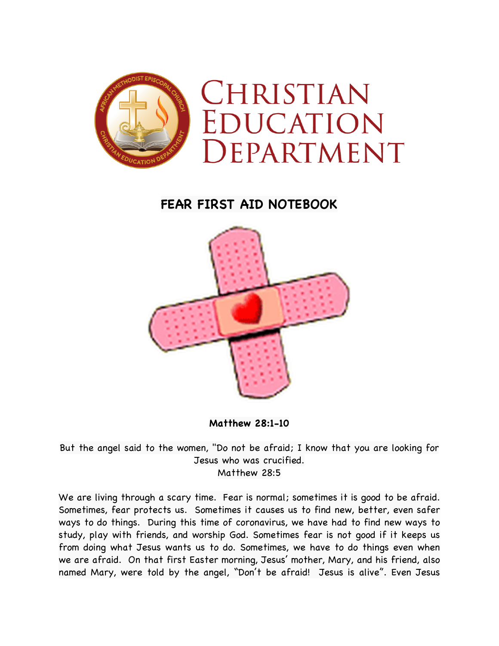

## **FEAR FIRST AID NOTEBOOK**



**Matthew 28:1-10**

But the angel said to the women, "Do not be afraid; I know that you are looking for Jesus who was crucified. Matthew 28:5

We are living through a scary time. Fear is normal; sometimes it is good to be afraid. Sometimes, fear protects us. Sometimes it causes us to find new, better, even safer ways to do things. During this time of coronavirus, we have had to find new ways to study, play with friends, and worship God. Sometimes fear is not good if it keeps us from doing what Jesus wants us to do. Sometimes, we have to do things even when we are afraid. On that first Easter morning, Jesus' mother, Mary, and his friend, also named Mary, were told by the angel, "Don't be afraid! Jesus is alive". Even Jesus